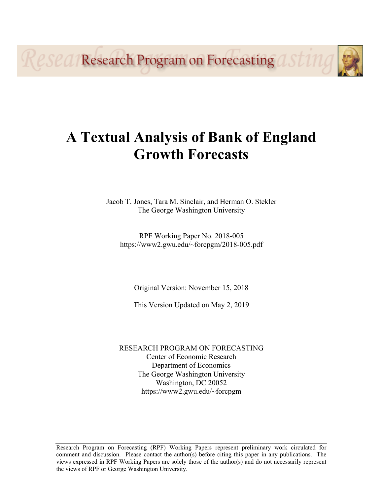Reseal Research Program on Forecasting ast 11

# **A Textual Analysis of Bank of England Growth Forecasts**

Jacob T. Jones, Tara M. Sinclair, and Herman O. Stekler The George Washington University

RPF Working Paper No. 2018-005 https://www2.gwu.edu/~forcpgm/2018-005.pdf

Original Version: November 15, 2018

This Version Updated on May 2, 2019

RESEARCH PROGRAM ON FORECASTING Center of Economic Research Department of Economics The George Washington University Washington, DC 20052 https://www2.gwu.edu/~forcpgm

Research Program on Forecasting (RPF) Working Papers represent preliminary work circulated for comment and discussion. Please contact the author(s) before citing this paper in any publications. The views expressed in RPF Working Papers are solely those of the author(s) and do not necessarily represent the views of RPF or George Washington University.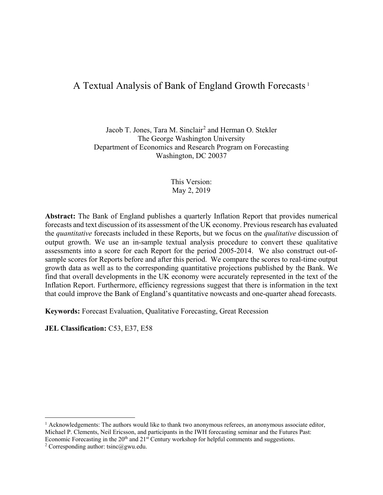## A Textual Analysis of Bank of England Growth Forecasts<sup>[1](#page-1-0)</sup>

Jacob T. Jones, Tara M. Sinclair<sup>[2](#page-1-1)</sup> and Herman O. Stekler The George Washington University Department of Economics and Research Program on Forecasting Washington, DC 20037

> This Version: May 2, 2019

**Abstract:** The Bank of England publishes a quarterly Inflation Report that provides numerical forecasts and text discussion of its assessment of the UK economy. Previous research has evaluated the *quantitative* forecasts included in these Reports, but we focus on the *qualitative* discussion of output growth. We use an in-sample textual analysis procedure to convert these qualitative assessments into a score for each Report for the period 2005-2014. We also construct out-ofsample scores for Reports before and after this period. We compare the scores to real-time output growth data as well as to the corresponding quantitative projections published by the Bank. We find that overall developments in the UK economy were accurately represented in the text of the Inflation Report. Furthermore, efficiency regressions suggest that there is information in the text that could improve the Bank of England's quantitative nowcasts and one-quarter ahead forecasts.

**Keywords:** Forecast Evaluation, Qualitative Forecasting, Great Recession

**JEL Classification:** C53, E37, E58

<span id="page-1-0"></span><sup>&</sup>lt;sup>1</sup> Acknowledgements: The authors would like to thank two anonymous referees, an anonymous associate editor, Michael P. Clements, Neil Ericsson, and participants in the IWH forecasting seminar and the Futures Past: Economic Forecasting in the  $20<sup>th</sup>$  and  $21<sup>st</sup>$  Century workshop for helpful comments and suggestions.

<span id="page-1-1"></span><sup>&</sup>lt;sup>2</sup> Corresponding author: tsinc@gwu.edu.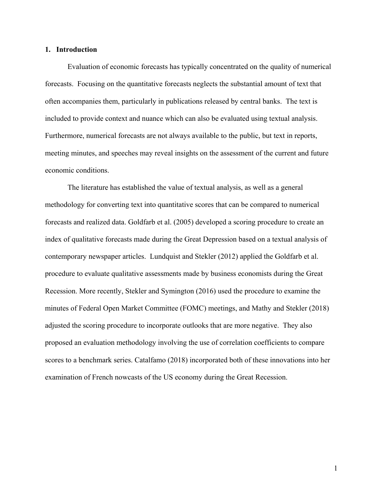#### **1. Introduction**

Evaluation of economic forecasts has typically concentrated on the quality of numerical forecasts. Focusing on the quantitative forecasts neglects the substantial amount of text that often accompanies them, particularly in publications released by central banks. The text is included to provide context and nuance which can also be evaluated using textual analysis. Furthermore, numerical forecasts are not always available to the public, but text in reports, meeting minutes, and speeches may reveal insights on the assessment of the current and future economic conditions.

The literature has established the value of textual analysis, as well as a general methodology for converting text into quantitative scores that can be compared to numerical forecasts and realized data. Goldfarb et al. (2005) developed a scoring procedure to create an index of qualitative forecasts made during the Great Depression based on a textual analysis of contemporary newspaper articles. Lundquist and Stekler (2012) applied the Goldfarb et al. procedure to evaluate qualitative assessments made by business economists during the Great Recession. More recently, Stekler and Symington (2016) used the procedure to examine the minutes of Federal Open Market Committee (FOMC) meetings, and Mathy and Stekler (2018) adjusted the scoring procedure to incorporate outlooks that are more negative. They also proposed an evaluation methodology involving the use of correlation coefficients to compare scores to a benchmark series. Catalfamo (2018) incorporated both of these innovations into her examination of French nowcasts of the US economy during the Great Recession.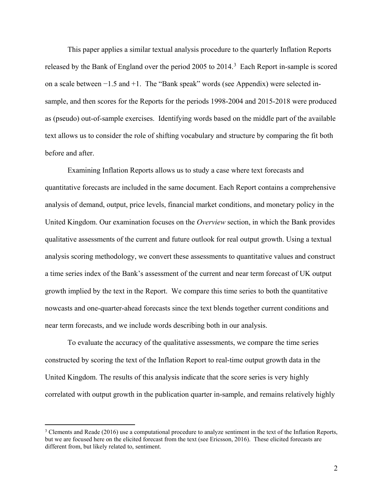This paper applies a similar textual analysis procedure to the quarterly Inflation Reports released by the Bank of England over the period 2005 to 2014.<sup>[3](#page-3-0)</sup> Each Report in-sample is scored on a scale between −1.5 and +1. The "Bank speak" words (see Appendix) were selected insample, and then scores for the Reports for the periods 1998-2004 and 2015-2018 were produced as (pseudo) out-of-sample exercises. Identifying words based on the middle part of the available text allows us to consider the role of shifting vocabulary and structure by comparing the fit both before and after.

Examining Inflation Reports allows us to study a case where text forecasts and quantitative forecasts are included in the same document. Each Report contains a comprehensive analysis of demand, output, price levels, financial market conditions, and monetary policy in the United Kingdom. Our examination focuses on the *Overview* section, in which the Bank provides qualitative assessments of the current and future outlook for real output growth. Using a textual analysis scoring methodology, we convert these assessments to quantitative values and construct a time series index of the Bank's assessment of the current and near term forecast of UK output growth implied by the text in the Report. We compare this time series to both the quantitative nowcasts and one-quarter-ahead forecasts since the text blends together current conditions and near term forecasts, and we include words describing both in our analysis.

To evaluate the accuracy of the qualitative assessments, we compare the time series constructed by scoring the text of the Inflation Report to real-time output growth data in the United Kingdom. The results of this analysis indicate that the score series is very highly correlated with output growth in the publication quarter in-sample, and remains relatively highly

<span id="page-3-0"></span> $3$  Clements and Reade (2016) use a computational procedure to analyze sentiment in the text of the Inflation Reports, but we are focused here on the elicited forecast from the text (see Ericsson, 2016). These elicited forecasts are different from, but likely related to, sentiment.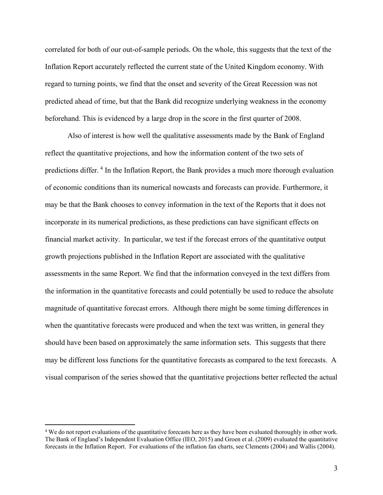correlated for both of our out-of-sample periods. On the whole, this suggests that the text of the Inflation Report accurately reflected the current state of the United Kingdom economy. With regard to turning points, we find that the onset and severity of the Great Recession was not predicted ahead of time, but that the Bank did recognize underlying weakness in the economy beforehand. This is evidenced by a large drop in the score in the first quarter of 2008.

Also of interest is how well the qualitative assessments made by the Bank of England reflect the quantitative projections, and how the information content of the two sets of predictions differ. [4](#page-4-0) In the Inflation Report, the Bank provides a much more thorough evaluation of economic conditions than its numerical nowcasts and forecasts can provide. Furthermore, it may be that the Bank chooses to convey information in the text of the Reports that it does not incorporate in its numerical predictions, as these predictions can have significant effects on financial market activity. In particular, we test if the forecast errors of the quantitative output growth projections published in the Inflation Report are associated with the qualitative assessments in the same Report. We find that the information conveyed in the text differs from the information in the quantitative forecasts and could potentially be used to reduce the absolute magnitude of quantitative forecast errors. Although there might be some timing differences in when the quantitative forecasts were produced and when the text was written, in general they should have been based on approximately the same information sets. This suggests that there may be different loss functions for the quantitative forecasts as compared to the text forecasts. A visual comparison of the series showed that the quantitative projections better reflected the actual

<span id="page-4-0"></span><sup>&</sup>lt;sup>4</sup> We do not report evaluations of the quantitative forecasts here as they have been evaluated thoroughly in other work. The Bank of England's Independent Evaluation Office (IEO, 2015) and Groen et al. (2009) evaluated the quantitative forecasts in the Inflation Report. For evaluations of the inflation fan charts, see Clements (2004) and Wallis (2004).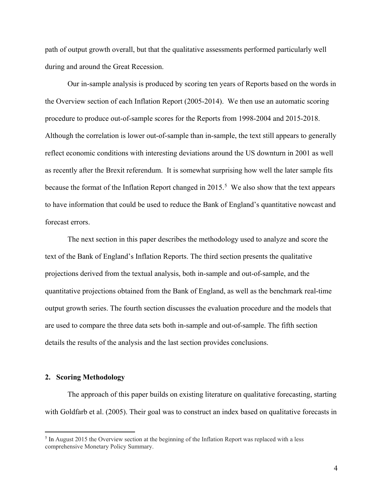path of output growth overall, but that the qualitative assessments performed particularly well during and around the Great Recession.

Our in-sample analysis is produced by scoring ten years of Reports based on the words in the Overview section of each Inflation Report (2005-2014). We then use an automatic scoring procedure to produce out-of-sample scores for the Reports from 1998-2004 and 2015-2018. Although the correlation is lower out-of-sample than in-sample, the text still appears to generally reflect economic conditions with interesting deviations around the US downturn in 2001 as well as recently after the Brexit referendum. It is somewhat surprising how well the later sample fits because the format of the Inflation Report changed in  $2015$  $2015$ <sup>5</sup> We also show that the text appears to have information that could be used to reduce the Bank of England's quantitative nowcast and forecast errors.

The next section in this paper describes the methodology used to analyze and score the text of the Bank of England's Inflation Reports. The third section presents the qualitative projections derived from the textual analysis, both in-sample and out-of-sample, and the quantitative projections obtained from the Bank of England, as well as the benchmark real-time output growth series. The fourth section discusses the evaluation procedure and the models that are used to compare the three data sets both in-sample and out-of-sample. The fifth section details the results of the analysis and the last section provides conclusions.

#### **2. Scoring Methodology**

 $\overline{a}$ 

The approach of this paper builds on existing literature on qualitative forecasting, starting with Goldfarb et al. (2005). Their goal was to construct an index based on qualitative forecasts in

<span id="page-5-0"></span><sup>5</sup> In August 2015 the Overview section at the beginning of the Inflation Report was replaced with a less comprehensive Monetary Policy Summary.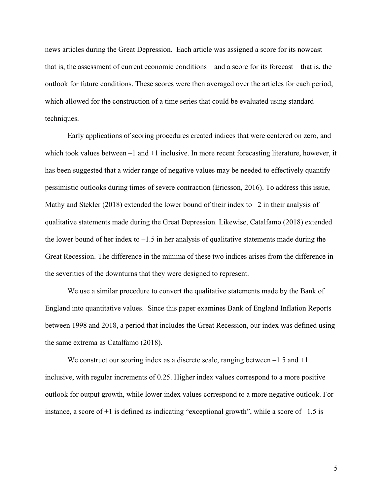news articles during the Great Depression. Each article was assigned a score for its nowcast – that is, the assessment of current economic conditions – and a score for its forecast – that is, the outlook for future conditions. These scores were then averaged over the articles for each period, which allowed for the construction of a time series that could be evaluated using standard techniques.

Early applications of scoring procedures created indices that were centered on zero, and which took values between  $-1$  and  $+1$  inclusive. In more recent forecasting literature, however, it has been suggested that a wider range of negative values may be needed to effectively quantify pessimistic outlooks during times of severe contraction (Ericsson, 2016). To address this issue, Mathy and Stekler (2018) extended the lower bound of their index to  $-2$  in their analysis of qualitative statements made during the Great Depression. Likewise, Catalfamo (2018) extended the lower bound of her index to  $-1.5$  in her analysis of qualitative statements made during the Great Recession. The difference in the minima of these two indices arises from the difference in the severities of the downturns that they were designed to represent.

We use a similar procedure to convert the qualitative statements made by the Bank of England into quantitative values. Since this paper examines Bank of England Inflation Reports between 1998 and 2018, a period that includes the Great Recession, our index was defined using the same extrema as Catalfamo (2018).

We construct our scoring index as a discrete scale, ranging between  $-1.5$  and  $+1$ inclusive, with regular increments of 0.25. Higher index values correspond to a more positive outlook for output growth, while lower index values correspond to a more negative outlook. For instance, a score of  $+1$  is defined as indicating "exceptional growth", while a score of  $-1.5$  is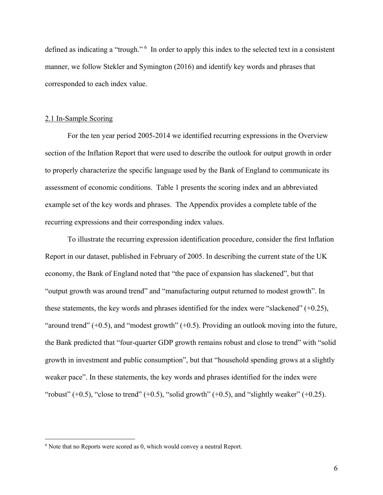defined as indicating a "trough." <sup>[6](#page-7-0)</sup> In order to apply this index to the selected text in a consistent manner, we follow Stekler and Symington (2016) and identify key words and phrases that corresponded to each index value.

#### 2.1 In-Sample Scoring

 $\overline{a}$ 

For the ten year period 2005-2014 we identified recurring expressions in the Overview section of the Inflation Report that were used to describe the outlook for output growth in order to properly characterize the specific language used by the Bank of England to communicate its assessment of economic conditions. Table 1 presents the scoring index and an abbreviated example set of the key words and phrases. The Appendix provides a complete table of the recurring expressions and their corresponding index values.

To illustrate the recurring expression identification procedure, consider the first Inflation Report in our dataset, published in February of 2005. In describing the current state of the UK economy, the Bank of England noted that "the pace of expansion has slackened", but that "output growth was around trend" and "manufacturing output returned to modest growth". In these statements, the key words and phrases identified for the index were "slackened" (+0.25), "around trend"  $(+0.5)$ , and "modest growth"  $(+0.5)$ . Providing an outlook moving into the future, the Bank predicted that "four-quarter GDP growth remains robust and close to trend" with "solid growth in investment and public consumption", but that "household spending grows at a slightly weaker pace". In these statements, the key words and phrases identified for the index were "robust"  $(+0.5)$ , "close to trend"  $(+0.5)$ , "solid growth"  $(+0.5)$ , and "slightly weaker"  $(+0.25)$ .

<span id="page-7-0"></span><sup>6</sup> Note that no Reports were scored as 0, which would convey a neutral Report.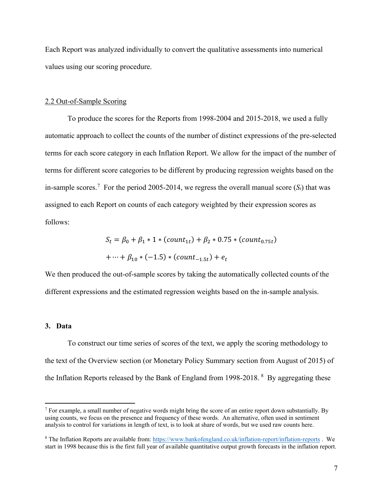Each Report was analyzed individually to convert the qualitative assessments into numerical values using our scoring procedure.

#### 2.2 Out-of-Sample Scoring

To produce the scores for the Reports from 1998-2004 and 2015-2018, we used a fully automatic approach to collect the counts of the number of distinct expressions of the pre-selected terms for each score category in each Inflation Report. We allow for the impact of the number of terms for different score categories to be different by producing regression weights based on the in-sample scores.<sup>[7](#page-8-0)</sup> For the period 2005-2014, we regress the overall manual score  $(S_t)$  that was assigned to each Report on counts of each category weighted by their expression scores as follows:

$$
S_t = \beta_0 + \beta_1 * 1 * (count_{1t}) + \beta_2 * 0.75 * (count_{0.75t})
$$
  
+ ... +  $\beta_{10} * (-1.5) * (count_{-1.5t}) + e_t$ 

We then produced the out-of-sample scores by taking the automatically collected counts of the different expressions and the estimated regression weights based on the in-sample analysis.

#### **3. Data**

 $\overline{a}$ 

To construct our time series of scores of the text, we apply the scoring methodology to the text of the Overview section (or Monetary Policy Summary section from August of 2015) of the Inflation Reports released by the Bank of England from 199[8](#page-8-1)-2018.  $8$  By aggregating these

<span id="page-8-0"></span><sup>&</sup>lt;sup>7</sup> For example, a small number of negative words might bring the score of an entire report down substantially. By using counts, we focus on the presence and frequency of these words. An alternative, often used in sentiment analysis to control for variations in length of text, is to look at share of words, but we used raw counts here.

<span id="page-8-1"></span><sup>8</sup> The Inflation Reports are available from:<https://www.bankofengland.co.uk/inflation-report/inflation-reports> . We start in 1998 because this is the first full year of available quantitative output growth forecasts in the inflation report.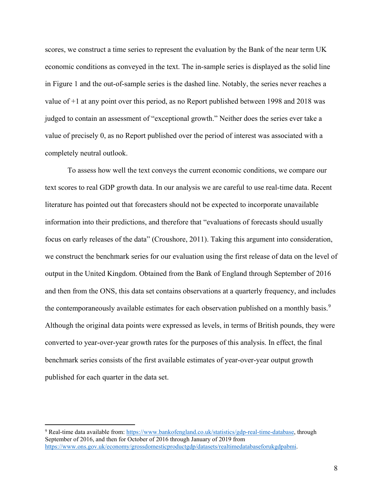scores, we construct a time series to represent the evaluation by the Bank of the near term UK economic conditions as conveyed in the text. The in-sample series is displayed as the solid line in Figure 1 and the out-of-sample series is the dashed line. Notably, the series never reaches a value of +1 at any point over this period, as no Report published between 1998 and 2018 was judged to contain an assessment of "exceptional growth." Neither does the series ever take a value of precisely 0, as no Report published over the period of interest was associated with a completely neutral outlook.

To assess how well the text conveys the current economic conditions, we compare our text scores to real GDP growth data. In our analysis we are careful to use real-time data. Recent literature has pointed out that forecasters should not be expected to incorporate unavailable information into their predictions, and therefore that "evaluations of forecasts should usually focus on early releases of the data" (Croushore, 2011). Taking this argument into consideration, we construct the benchmark series for our evaluation using the first release of data on the level of output in the United Kingdom. Obtained from the Bank of England through September of 2016 and then from the ONS, this data set contains observations at a quarterly frequency, and includes the contemporaneously available estimates for each observation published on a monthly basis.<sup>[9](#page-9-0)</sup> Although the original data points were expressed as levels, in terms of British pounds, they were converted to year-over-year growth rates for the purposes of this analysis. In effect, the final benchmark series consists of the first available estimates of year-over-year output growth published for each quarter in the data set.

<span id="page-9-0"></span><sup>9</sup> Real-time data available from: [https://www.bankofengland.co.uk/statistics/gdp-real-time-database,](https://www.bankofengland.co.uk/statistics/gdp-real-time-database%20through%20November%202016) through September of 2016, and then for October of 2016 through January of 2019 from [https://www.ons.gov.uk/economy/grossdomesticproductgdp/datasets/realtimedatabaseforukgdpabmi.](https://www.ons.gov.uk/economy/grossdomesticproductgdp/datasets/realtimedatabaseforukgdpabmi)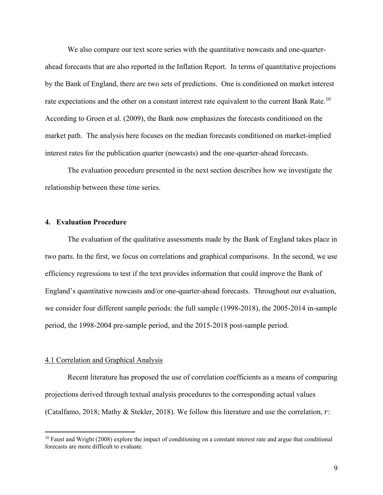We also compare our text score series with the quantitative nowcasts and one-quarterahead forecasts that are also reported in the Inflation Report. In terms of quantitative projections by the Bank of England, there are two sets of predictions. One is conditioned on market interest rate expectations and the other on a constant interest rate equivalent to the current Bank Rate.<sup>[10](#page-10-0)</sup> According to Groen et al. (2009), the Bank now emphasizes the forecasts conditioned on the market path. The analysis here focuses on the median forecasts conditioned on market-implied interest rates for the publication quarter (nowcasts) and the one-quarter-ahead forecasts.

The evaluation procedure presented in the next section describes how we investigate the relationship between these time series.

#### **4. Evaluation Procedure**

The evaluation of the qualitative assessments made by the Bank of England takes place in two parts. In the first, we focus on correlations and graphical comparisons. In the second, we use efficiency regressions to test if the text provides information that could improve the Bank of England's quantitative nowcasts and/or one-quarter-ahead forecasts. Throughout our evaluation, we consider four different sample periods: the full sample (1998-2018), the 2005-2014 in-sample period, the 1998-2004 pre-sample period, and the 2015-2018 post-sample period.

#### 4.1 Correlation and Graphical Analysis

 $\overline{a}$ 

Recent literature has proposed the use of correlation coefficients as a means of comparing projections derived through textual analysis procedures to the corresponding actual values (Catalfamo, 2018; Mathy & Stekler, 2018). We follow this literature and use the correlation,  $r$ :

<span id="page-10-0"></span><sup>&</sup>lt;sup>10</sup> Faust and Wright (2008) explore the impact of conditioning on a constant interest rate and argue that conditional forecasts are more difficult to evaluate.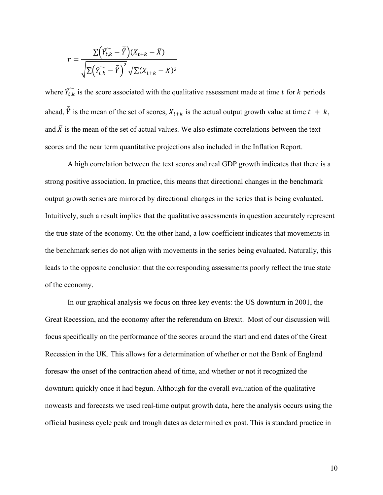$$
r = \frac{\Sigma(\widehat{Y_{t,k}} - \overline{\hat{Y}})(X_{t+k} - \overline{X})}{\sqrt{\Sigma(\widehat{Y_{t,k}} - \overline{\hat{Y}})^2} \sqrt{\Sigma(X_{t+k} - \overline{X})^2}}
$$

where  $\widehat{Y}_{t,k}$  is the score associated with the qualitative assessment made at time t for k periods ahead,  $\hat{Y}$  is the mean of the set of scores,  $X_{t+k}$  is the actual output growth value at time  $t + k$ , and  $\bar{X}$  is the mean of the set of actual values. We also estimate correlations between the text scores and the near term quantitative projections also included in the Inflation Report.

A high correlation between the text scores and real GDP growth indicates that there is a strong positive association. In practice, this means that directional changes in the benchmark output growth series are mirrored by directional changes in the series that is being evaluated. Intuitively, such a result implies that the qualitative assessments in question accurately represent the true state of the economy. On the other hand, a low coefficient indicates that movements in the benchmark series do not align with movements in the series being evaluated. Naturally, this leads to the opposite conclusion that the corresponding assessments poorly reflect the true state of the economy.

In our graphical analysis we focus on three key events: the US downturn in 2001, the Great Recession, and the economy after the referendum on Brexit. Most of our discussion will focus specifically on the performance of the scores around the start and end dates of the Great Recession in the UK. This allows for a determination of whether or not the Bank of England foresaw the onset of the contraction ahead of time, and whether or not it recognized the downturn quickly once it had begun. Although for the overall evaluation of the qualitative nowcasts and forecasts we used real-time output growth data, here the analysis occurs using the official business cycle peak and trough dates as determined ex post. This is standard practice in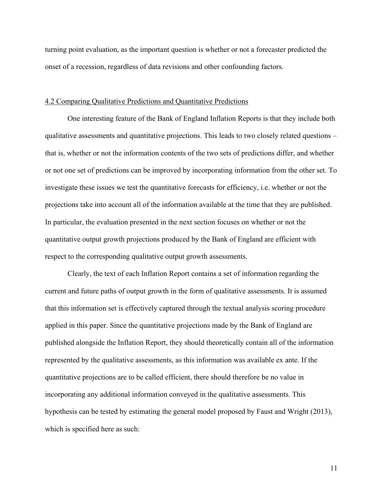turning point evaluation, as the important question is whether or not a forecaster predicted the onset of a recession, regardless of data revisions and other confounding factors.

#### 4.2 Comparing Qualitative Predictions and Quantitative Predictions

One interesting feature of the Bank of England Inflation Reports is that they include both qualitative assessments and quantitative projections. This leads to two closely related questions – that is, whether or not the information contents of the two sets of predictions differ, and whether or not one set of predictions can be improved by incorporating information from the other set. To investigate these issues we test the quantitative forecasts for efficiency, i.e. whether or not the projections take into account all of the information available at the time that they are published. In particular, the evaluation presented in the next section focuses on whether or not the quantitative output growth projections produced by the Bank of England are efficient with respect to the corresponding qualitative output growth assessments.

Clearly, the text of each Inflation Report contains a set of information regarding the current and future paths of output growth in the form of qualitative assessments. It is assumed that this information set is effectively captured through the textual analysis scoring procedure applied in this paper. Since the quantitative projections made by the Bank of England are published alongside the Inflation Report, they should theoretically contain all of the information represented by the qualitative assessments, as this information was available ex ante. If the quantitative projections are to be called efficient, there should therefore be no value in incorporating any additional information conveyed in the qualitative assessments. This hypothesis can be tested by estimating the general model proposed by Faust and Wright (2013), which is specified here as such:

11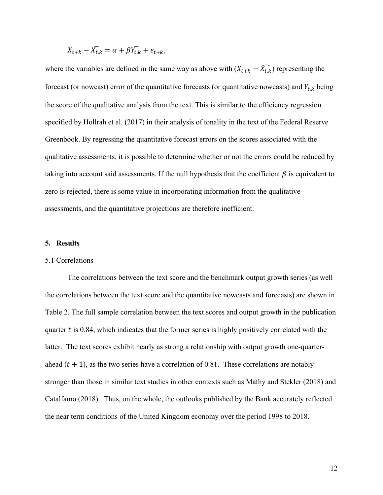$$
X_{t+k} - \widehat{X_{t,k}} = \alpha + \beta \widehat{Y_{t,k}} + \varepsilon_{t+k},
$$

where the variables are defined in the same way as above with  $(X_{t+k} - \widehat{X_{t,k}})$  representing the forecast (or nowcast) error of the quantitative forecasts (or quantitative nowcasts) and  $Y_{t,k}$  being the score of the qualitative analysis from the text. This is similar to the efficiency regression specified by Hollrah et al. (2017) in their analysis of tonality in the text of the Federal Reserve Greenbook. By regressing the quantitative forecast errors on the scores associated with the qualitative assessments, it is possible to determine whether or not the errors could be reduced by taking into account said assessments. If the null hypothesis that the coefficient  $\beta$  is equivalent to zero is rejected, there is some value in incorporating information from the qualitative assessments, and the quantitative projections are therefore inefficient.

#### **5. Results**

#### 5.1 Correlations

The correlations between the text score and the benchmark output growth series (as well the correlations between the text score and the quantitative nowcasts and forecasts) are shown in Table 2. The full sample correlation between the text scores and output growth in the publication quarter  $t$  is 0.84, which indicates that the former series is highly positively correlated with the latter. The text scores exhibit nearly as strong a relationship with output growth one-quarterahead  $(t + 1)$ , as the two series have a correlation of 0.81. These correlations are notably stronger than those in similar text studies in other contexts such as Mathy and Stekler (2018) and Catalfamo (2018). Thus, on the whole, the outlooks published by the Bank accurately reflected the near term conditions of the United Kingdom economy over the period 1998 to 2018.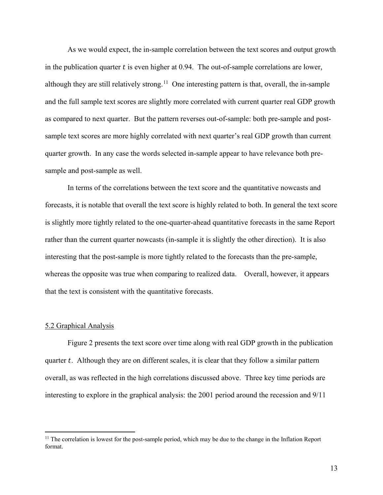As we would expect, the in-sample correlation between the text scores and output growth in the publication quarter  $t$  is even higher at 0.94. The out-of-sample correlations are lower, although they are still relatively strong.<sup>[11](#page-14-0)</sup> One interesting pattern is that, overall, the in-sample and the full sample text scores are slightly more correlated with current quarter real GDP growth as compared to next quarter. But the pattern reverses out-of-sample: both pre-sample and postsample text scores are more highly correlated with next quarter's real GDP growth than current quarter growth. In any case the words selected in-sample appear to have relevance both presample and post-sample as well.

In terms of the correlations between the text score and the quantitative nowcasts and forecasts, it is notable that overall the text score is highly related to both. In general the text score is slightly more tightly related to the one-quarter-ahead quantitative forecasts in the same Report rather than the current quarter nowcasts (in-sample it is slightly the other direction). It is also interesting that the post-sample is more tightly related to the forecasts than the pre-sample, whereas the opposite was true when comparing to realized data. Overall, however, it appears that the text is consistent with the quantitative forecasts.

#### 5.2 Graphical Analysis

 $\overline{a}$ 

Figure 2 presents the text score over time along with real GDP growth in the publication quarter  $t$ . Although they are on different scales, it is clear that they follow a similar pattern overall, as was reflected in the high correlations discussed above. Three key time periods are interesting to explore in the graphical analysis: the 2001 period around the recession and 9/11

<span id="page-14-0"></span><sup>&</sup>lt;sup>11</sup> The correlation is lowest for the post-sample period, which may be due to the change in the Inflation Report format.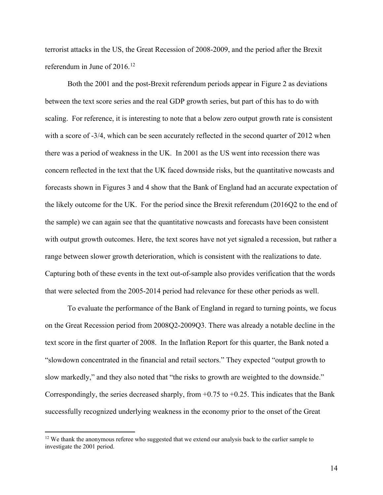terrorist attacks in the US, the Great Recession of 2008-2009, and the period after the Brexit referendum in June of  $2016$ <sup>[12](#page-15-0)</sup>

Both the 2001 and the post-Brexit referendum periods appear in Figure 2 as deviations between the text score series and the real GDP growth series, but part of this has to do with scaling. For reference, it is interesting to note that a below zero output growth rate is consistent with a score of -3/4, which can be seen accurately reflected in the second quarter of 2012 when there was a period of weakness in the UK. In 2001 as the US went into recession there was concern reflected in the text that the UK faced downside risks, but the quantitative nowcasts and forecasts shown in Figures 3 and 4 show that the Bank of England had an accurate expectation of the likely outcome for the UK. For the period since the Brexit referendum (2016Q2 to the end of the sample) we can again see that the quantitative nowcasts and forecasts have been consistent with output growth outcomes. Here, the text scores have not yet signaled a recession, but rather a range between slower growth deterioration, which is consistent with the realizations to date. Capturing both of these events in the text out-of-sample also provides verification that the words that were selected from the 2005-2014 period had relevance for these other periods as well.

To evaluate the performance of the Bank of England in regard to turning points, we focus on the Great Recession period from 2008Q2-2009Q3. There was already a notable decline in the text score in the first quarter of 2008. In the Inflation Report for this quarter, the Bank noted a "slowdown concentrated in the financial and retail sectors." They expected "output growth to slow markedly," and they also noted that "the risks to growth are weighted to the downside." Correspondingly, the series decreased sharply, from +0.75 to +0.25. This indicates that the Bank successfully recognized underlying weakness in the economy prior to the onset of the Great

<span id="page-15-0"></span><sup>&</sup>lt;sup>12</sup> We thank the anonymous referee who suggested that we extend our analysis back to the earlier sample to investigate the 2001 period.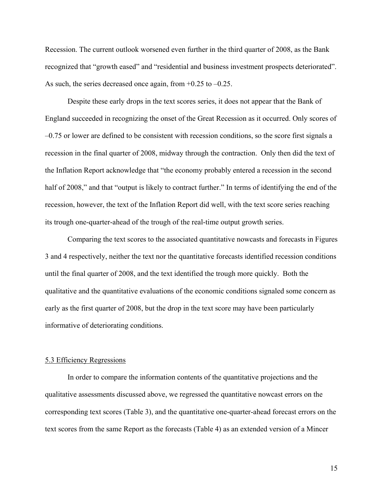Recession. The current outlook worsened even further in the third quarter of 2008, as the Bank recognized that "growth eased" and "residential and business investment prospects deteriorated". As such, the series decreased once again, from  $+0.25$  to  $-0.25$ .

Despite these early drops in the text scores series, it does not appear that the Bank of England succeeded in recognizing the onset of the Great Recession as it occurred. Only scores of –0.75 or lower are defined to be consistent with recession conditions, so the score first signals a recession in the final quarter of 2008, midway through the contraction. Only then did the text of the Inflation Report acknowledge that "the economy probably entered a recession in the second half of 2008," and that "output is likely to contract further." In terms of identifying the end of the recession, however, the text of the Inflation Report did well, with the text score series reaching its trough one-quarter-ahead of the trough of the real-time output growth series.

Comparing the text scores to the associated quantitative nowcasts and forecasts in Figures 3 and 4 respectively, neither the text nor the quantitative forecasts identified recession conditions until the final quarter of 2008, and the text identified the trough more quickly. Both the qualitative and the quantitative evaluations of the economic conditions signaled some concern as early as the first quarter of 2008, but the drop in the text score may have been particularly informative of deteriorating conditions.

#### 5.3 Efficiency Regressions

In order to compare the information contents of the quantitative projections and the qualitative assessments discussed above, we regressed the quantitative nowcast errors on the corresponding text scores (Table 3), and the quantitative one-quarter-ahead forecast errors on the text scores from the same Report as the forecasts (Table 4) as an extended version of a Mincer

15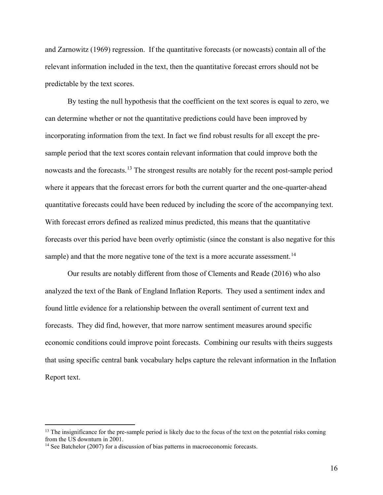and Zarnowitz (1969) regression. If the quantitative forecasts (or nowcasts) contain all of the relevant information included in the text, then the quantitative forecast errors should not be predictable by the text scores.

By testing the null hypothesis that the coefficient on the text scores is equal to zero, we can determine whether or not the quantitative predictions could have been improved by incorporating information from the text. In fact we find robust results for all except the presample period that the text scores contain relevant information that could improve both the nowcasts and the forecasts.<sup>[13](#page-17-0)</sup> The strongest results are notably for the recent post-sample period where it appears that the forecast errors for both the current quarter and the one-quarter-ahead quantitative forecasts could have been reduced by including the score of the accompanying text. With forecast errors defined as realized minus predicted, this means that the quantitative forecasts over this period have been overly optimistic (since the constant is also negative for this sample) and that the more negative tone of the text is a more accurate assessment.<sup>[14](#page-17-1)</sup>

Our results are notably different from those of Clements and Reade (2016) who also analyzed the text of the Bank of England Inflation Reports. They used a sentiment index and found little evidence for a relationship between the overall sentiment of current text and forecasts. They did find, however, that more narrow sentiment measures around specific economic conditions could improve point forecasts. Combining our results with theirs suggests that using specific central bank vocabulary helps capture the relevant information in the Inflation Report text.

<span id="page-17-0"></span> $<sup>13</sup>$  The insignificance for the pre-sample period is likely due to the focus of the text on the potential risks coming</sup> from the US downturn in 2001.

<span id="page-17-1"></span><sup>&</sup>lt;sup>14</sup> See Batchelor (2007) for a discussion of bias patterns in macroeconomic forecasts.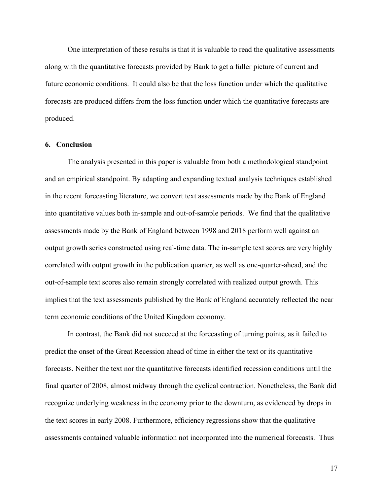One interpretation of these results is that it is valuable to read the qualitative assessments along with the quantitative forecasts provided by Bank to get a fuller picture of current and future economic conditions. It could also be that the loss function under which the qualitative forecasts are produced differs from the loss function under which the quantitative forecasts are produced.

#### **6. Conclusion**

The analysis presented in this paper is valuable from both a methodological standpoint and an empirical standpoint. By adapting and expanding textual analysis techniques established in the recent forecasting literature, we convert text assessments made by the Bank of England into quantitative values both in-sample and out-of-sample periods. We find that the qualitative assessments made by the Bank of England between 1998 and 2018 perform well against an output growth series constructed using real-time data. The in-sample text scores are very highly correlated with output growth in the publication quarter, as well as one-quarter-ahead, and the out-of-sample text scores also remain strongly correlated with realized output growth. This implies that the text assessments published by the Bank of England accurately reflected the near term economic conditions of the United Kingdom economy.

In contrast, the Bank did not succeed at the forecasting of turning points, as it failed to predict the onset of the Great Recession ahead of time in either the text or its quantitative forecasts. Neither the text nor the quantitative forecasts identified recession conditions until the final quarter of 2008, almost midway through the cyclical contraction. Nonetheless, the Bank did recognize underlying weakness in the economy prior to the downturn, as evidenced by drops in the text scores in early 2008. Furthermore, efficiency regressions show that the qualitative assessments contained valuable information not incorporated into the numerical forecasts. Thus

17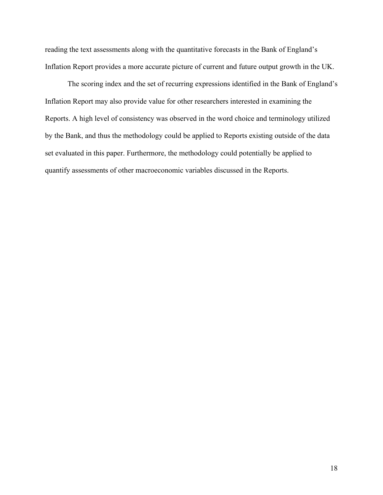reading the text assessments along with the quantitative forecasts in the Bank of England's Inflation Report provides a more accurate picture of current and future output growth in the UK.

The scoring index and the set of recurring expressions identified in the Bank of England's Inflation Report may also provide value for other researchers interested in examining the Reports. A high level of consistency was observed in the word choice and terminology utilized by the Bank, and thus the methodology could be applied to Reports existing outside of the data set evaluated in this paper. Furthermore, the methodology could potentially be applied to quantify assessments of other macroeconomic variables discussed in the Reports.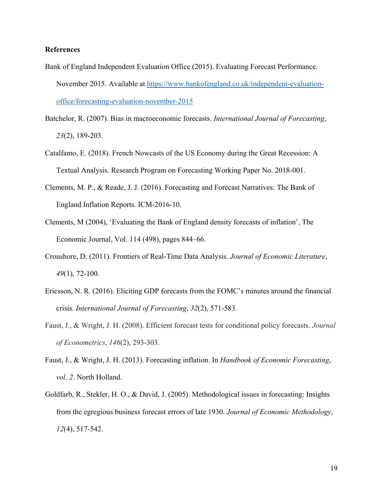#### **References**

- Bank of England Independent Evaluation Office (2015). Evaluating Forecast Performance. November 2015. Available at [https://www.bankofengland.co.uk/independent-evaluation](https://www.bankofengland.co.uk/independent-evaluation-office/forecasting-evaluation-november-2015)[office/forecasting-evaluation-november-2015](https://www.bankofengland.co.uk/independent-evaluation-office/forecasting-evaluation-november-2015)
- Batchelor, R. (2007). Bias in macroeconomic forecasts. *International Journal of Forecasting*, *23*(2), 189-203.
- Catalfamo, E. (2018). French Nowcasts of the US Economy during the Great Recession: A Textual Analysis. Research Program on Forecasting Working Paper No. 2018-001.
- Clements, M. P., & Reade, J. J. (2016). Forecasting and Forecast Narratives: The Bank of England Inflation Reports. ICM-2016-10.
- Clements, M (2004), 'Evaluating the Bank of England density forecasts of inflation', The Economic Journal, Vol. 114 (498), pages 844–66.
- Croushore, D. (2011). Frontiers of Real-Time Data Analysis. *Journal of Economic Literature*, *49*(1), 72-100.
- Ericsson, N. R. (2016). Eliciting GDP forecasts from the FOMC's minutes around the financial crisis*. International Journal of Forecasting*, *32*(2), 571-583.
- Faust, J., & Wright, J. H. (2008). Efficient forecast tests for conditional policy forecasts. *Journal of Econometrics*, *146*(2), 293-303.
- Faust, J., & Wright, J. H. (2013). Forecasting inflation. In *Handbook of Economic Forecasting*, *vol*. *2*. North Holland.
- Goldfarb, R., Stekler, H. O., & David, J. (2005). Methodological issues in forecasting: Insights from the egregious business forecast errors of late 1930. *Journal of Economic Methodology*, *12*(4), 517-542.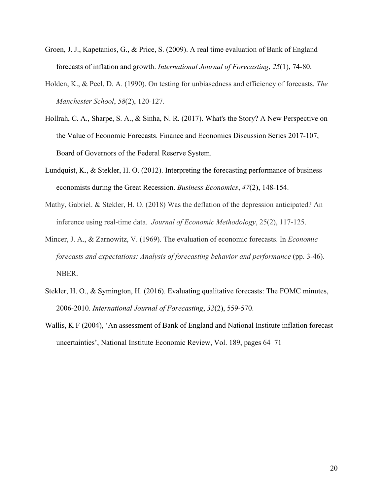- Groen, J. J., Kapetanios, G., & Price, S. (2009). A real time evaluation of Bank of England forecasts of inflation and growth. *International Journal of Forecasting*, *25*(1), 74-80.
- Holden, K., & Peel, D. A. (1990). On testing for unbiasedness and efficiency of forecasts. *The Manchester School*, *58*(2), 120-127.
- Hollrah, C. A., Sharpe, S. A., & Sinha, N. R. (2017). What's the Story? A New Perspective on the Value of Economic Forecasts. Finance and Economics Discussion Series 2017-107, Board of Governors of the Federal Reserve System.
- Lundquist, K., & Stekler, H. O. (2012). Interpreting the forecasting performance of business economists during the Great Recession. *Business Economics*, *47*(2), 148-154.
- Mathy, Gabriel. & Stekler, H. O. (2018) Was the deflation of the depression anticipated? An inference using real-time data. *Journal of Economic Methodology*, 25(2), 117-125.
- Mincer, J. A., & Zarnowitz, V. (1969). The evaluation of economic forecasts. In *Economic forecasts and expectations: Analysis of forecasting behavior and performance* (pp. 3-46). NBER.
- Stekler, H. O., & Symington, H. (2016). Evaluating qualitative forecasts: The FOMC minutes, 2006-2010. *International Journal of Forecasting*, *32*(2), 559-570.
- Wallis, K F (2004), 'An assessment of Bank of England and National Institute inflation forecast uncertainties', National Institute Economic Review, Vol. 189, pages 64–71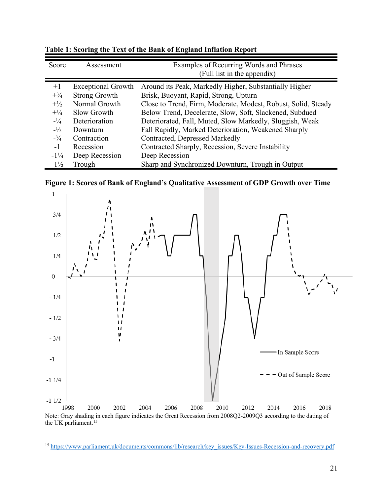| Score           | Assessment                | Examples of Recurring Words and Phrases<br>(Full list in the appendix) |
|-----------------|---------------------------|------------------------------------------------------------------------|
|                 |                           |                                                                        |
| $+1$            | <b>Exceptional Growth</b> | Around its Peak, Markedly Higher, Substantially Higher                 |
| $+ \frac{3}{4}$ | <b>Strong Growth</b>      | Brisk, Buoyant, Rapid, Strong, Upturn                                  |
| $+1/2$          | Normal Growth             | Close to Trend, Firm, Moderate, Modest, Robust, Solid, Steady          |
| $^{+1/4}$       | Slow Growth               | Below Trend, Decelerate, Slow, Soft, Slackened, Subdued                |
| $-1/4$          | Deterioration             | Deteriorated, Fall, Muted, Slow Markedly, Sluggish, Weak               |
| $-1/2$          | Downturn                  | Fall Rapidly, Marked Deterioration, Weakened Sharply                   |
| $- \frac{3}{4}$ | Contraction               | Contracted, Depressed Markedly                                         |
| $-1$            | Recession                 | Contracted Sharply, Recession, Severe Instability                      |
| $-1\frac{1}{4}$ | Deep Recession            | Deep Recession                                                         |
| $-1\frac{1}{2}$ | Trough                    | Sharp and Synchronized Downturn, Trough in Output                      |

**Table 1: Scoring the Text of the Bank of England Inflation Report**





<span id="page-22-0"></span> $\overline{a}$ <sup>15</sup> [https://www.parliament.uk/documents/commons/lib/research/key\\_issues/Key-Issues-Recession-and-recovery.pdf](https://www.parliament.uk/documents/commons/lib/research/key_issues/Key-Issues-Recession-and-recovery.pdf)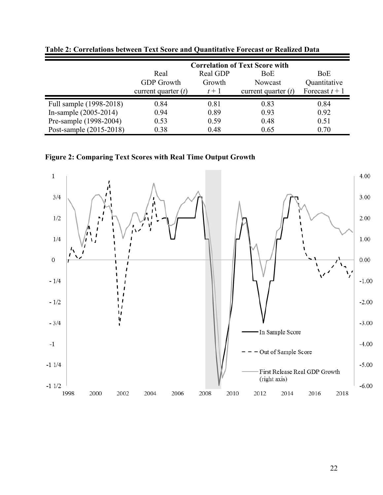|                         |                       |          | <b>Correlation of Text Score with</b> |                |
|-------------------------|-----------------------|----------|---------------------------------------|----------------|
|                         | Real                  | Real GDP | BoE                                   | <b>BoE</b>     |
|                         | <b>GDP</b> Growth     | Growth   | Nowcast                               | Quantitative   |
|                         | current quarter $(t)$ | $t+1$    | current quarter $(t)$                 | Forecast $t+1$ |
| Full sample (1998-2018) | 0.84                  | 0.81     | 0.83                                  | 0.84           |
| In-sample $(2005-2014)$ | 0.94                  | 0.89     | 0.93                                  | 0.92           |
| Pre-sample (1998-2004)  | 0.53                  | 0.59     | 0.48                                  | 0.51           |
| Post-sample (2015-2018) | 0.38                  | 0.48     | 0.65                                  | 0.70           |

**Table 2: Correlations between Text Score and Quantitative Forecast or Realized Data**

**Figure 2: Comparing Text Scores with Real Time Output Growth**

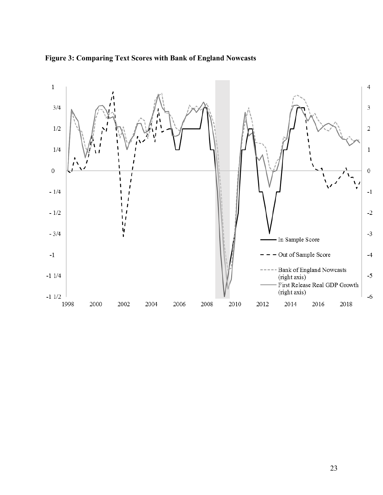

**Figure 3: Comparing Text Scores with Bank of England Nowcasts**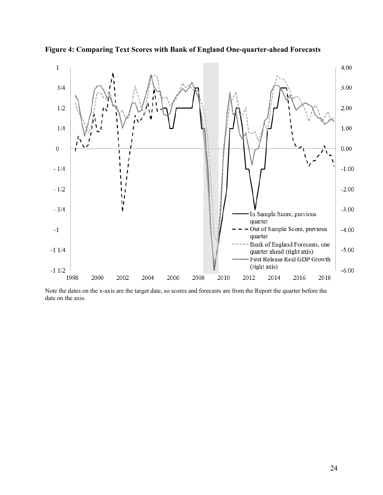

**Figure 4: Comparing Text Scores with Bank of England One-quarter-ahead Forecasts**

Note the dates on the x-axis are the target date, so scores and forecasts are from the Report the quarter before the date on the axis.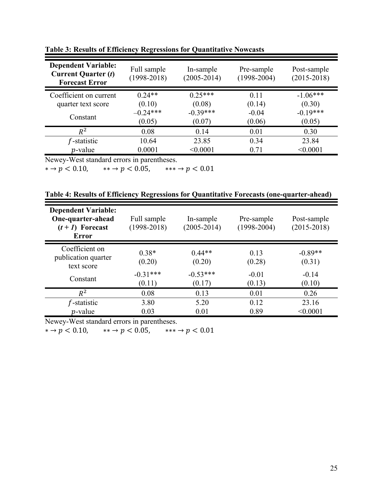| <b>Dependent Variable:</b><br><b>Current Quarter (t)</b><br><b>Forecast Error</b> | Full sample<br>$(1998 - 2018)$ | In-sample<br>$(2005 - 2014)$ | Pre-sample<br>$(1998 - 2004)$ | Post-sample<br>$(2015 - 2018)$ |
|-----------------------------------------------------------------------------------|--------------------------------|------------------------------|-------------------------------|--------------------------------|
| Coefficient on current                                                            | $0.24**$                       | $0.25***$                    | 0.11                          | $-1.06***$                     |
| quarter text score                                                                | (0.10)                         | (0.08)                       | (0.14)                        | (0.30)                         |
| Constant                                                                          | $-0.24***$                     | $-0.39***$                   | $-0.04$                       | $-0.19***$                     |
|                                                                                   | (0.05)                         | (0.07)                       | (0.06)                        | (0.05)                         |
| $R^2$                                                                             | 0.08                           | 0.14                         | 0.01                          | 0.30                           |
| f-statistic                                                                       | 10.64                          | 23.85                        | 0.34                          | 23.84                          |
| $p$ -value                                                                        | 0.0001                         | < 0.0001                     | 0.71                          | < 0.0001                       |

**Table 3: Results of Efficiency Regressions for Quantitative Nowcasts**

Newey-West standard errors in parentheses.

 $* \rightarrow p < 0.10, \qquad ** \rightarrow p < 0.05, \qquad *** \rightarrow p < 0.01$ 

| Table 4: Results of Efficiency Regressions for Quantitative Forecasts (one-quarter-ahead) |  |  |  |
|-------------------------------------------------------------------------------------------|--|--|--|
|-------------------------------------------------------------------------------------------|--|--|--|

| <b>Dependent Variable:</b><br>One-quarter-ahead<br>$(t+1)$ Forecast<br><b>Error</b> | Full sample<br>$(1998 - 2018)$ | In-sample<br>$(2005 - 2014)$ | Pre-sample<br>$(1998 - 2004)$ | Post-sample<br>$(2015 - 2018)$ |
|-------------------------------------------------------------------------------------|--------------------------------|------------------------------|-------------------------------|--------------------------------|
| Coefficient on<br>publication quarter<br>text score                                 | $0.38*$<br>(0.20)              | $0.44**$<br>(0.20)           | 0.13<br>(0.28)                | $-0.89**$<br>(0.31)            |
| Constant                                                                            | $-0.31***$<br>(0.11)           | $-0.53***$<br>(0.17)         | $-0.01$<br>(0.13)             | $-0.14$<br>(0.10)              |
| $R^2$                                                                               | 0.08                           | 0.13                         | 0.01                          | 0.26                           |
| $f$ -statistic<br>$p$ -value                                                        | 3.80<br>0.03                   | 5.20<br>0.01                 | 0.12<br>0.89                  | 23.16<br>< 0.0001              |

Newey-West standard errors in parentheses.

 $* \rightarrow p < 0.10, \qquad ** \rightarrow p < 0.05, \qquad *** \rightarrow p < 0.01$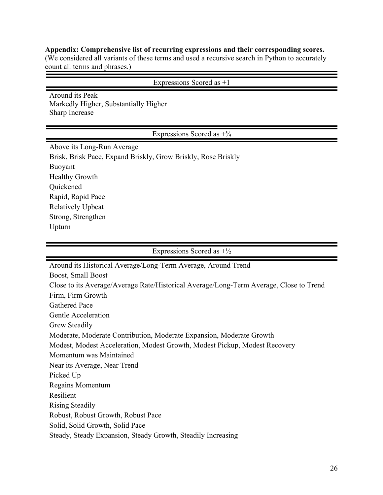#### **Appendix: Comprehensive list of recurring expressions and their corresponding scores.**

(We considered all variants of these terms and used a recursive search in Python to accurately count all terms and phrases.)

Expressions Scored as +1

Around its Peak Markedly Higher, Substantially Higher Sharp Increase

Expressions Scored as  $+3/4$ 

Above its Long-Run Average Brisk, Brisk Pace, Expand Briskly, Grow Briskly, Rose Briskly Buoyant Healthy Growth Quickened Rapid, Rapid Pace Relatively Upbeat Strong, Strengthen Upturn

Expressions Scored as  $+\frac{1}{2}$ 

Around its Historical Average/Long-Term Average, Around Trend Boost, Small Boost Close to its Average/Average Rate/Historical Average/Long-Term Average, Close to Trend Firm, Firm Growth Gathered Pace Gentle Acceleration Grew Steadily Moderate, Moderate Contribution, Moderate Expansion, Moderate Growth Modest, Modest Acceleration, Modest Growth, Modest Pickup, Modest Recovery Momentum was Maintained Near its Average, Near Trend Picked Up Regains Momentum Resilient Rising Steadily Robust, Robust Growth, Robust Pace Solid, Solid Growth, Solid Pace Steady, Steady Expansion, Steady Growth, Steadily Increasing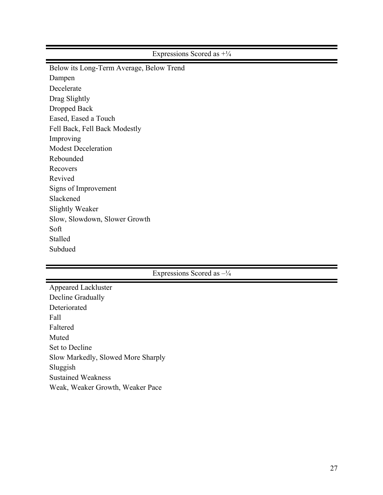Expressions Scored as +¼

Below its Long-Term Average, Below Trend Dampen Decelerate Drag Slightly Dropped Back Eased, Eased a Touch Fell Back, Fell Back Modestly Improving Modest Deceleration Rebounded Recovers Revived Signs of Improvement Slackened Slightly Weaker Slow, Slowdown, Slower Growth Soft Stalled Subdued

### Expressions Scored as –¼

| <b>Appeared Lackluster</b>         |
|------------------------------------|
| Decline Gradually                  |
| Deteriorated                       |
| Fall                               |
| Faltered                           |
| Muted                              |
| Set to Decline                     |
| Slow Markedly, Slowed More Sharply |
| Sluggish                           |
| <b>Sustained Weakness</b>          |
| Weak, Weaker Growth, Weaker Pace   |